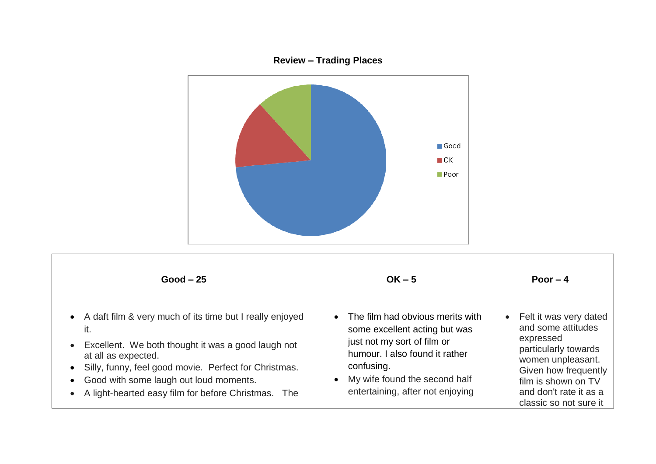

| $Good - 25$                                                                                                                                                                                                                                                                                                                                                                | $OK - 5$                                                                                                                                                                                                              | Poor $-4$                                                                                                                                                                                                              |
|----------------------------------------------------------------------------------------------------------------------------------------------------------------------------------------------------------------------------------------------------------------------------------------------------------------------------------------------------------------------------|-----------------------------------------------------------------------------------------------------------------------------------------------------------------------------------------------------------------------|------------------------------------------------------------------------------------------------------------------------------------------------------------------------------------------------------------------------|
| A daft film & very much of its time but I really enjoyed<br>$\bullet$<br>it.<br>Excellent. We both thought it was a good laugh not<br>$\bullet$<br>at all as expected.<br>Silly, funny, feel good movie. Perfect for Christmas.<br>$\bullet$<br>Good with some laugh out loud moments.<br>$\bullet$<br>A light-hearted easy film for before Christmas.<br>The<br>$\bullet$ | The film had obvious merits with<br>some excellent acting but was<br>just not my sort of film or<br>humour. I also found it rather<br>confusing.<br>My wife found the second half<br>entertaining, after not enjoying | Felt it was very dated<br>$\bullet$<br>and some attitudes<br>expressed<br>particularly towards<br>women unpleasant.<br>Given how frequently<br>film is shown on TV<br>and don't rate it as a<br>classic so not sure it |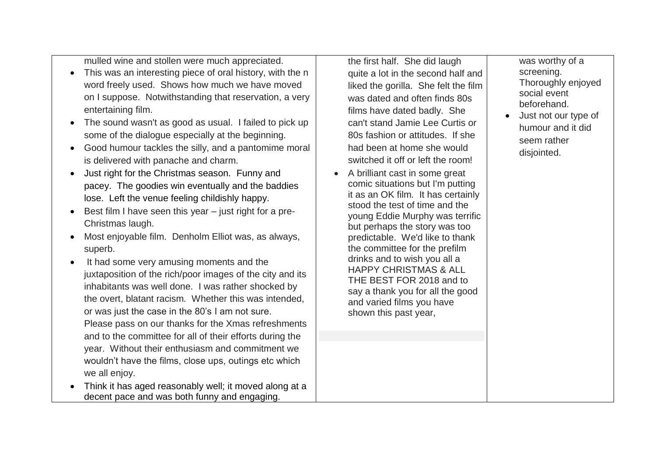mulled wine and stollen were much appreciated.

- This was an interesting piece of oral history, with the n word freely used. Shows how much we have moved on I suppose. Notwithstanding that reservation, a very entertaining film.
- The sound wasn't as good as usual. I failed to pick up some of the dialogue especially at the beginning.
- Good humour tackles the silly, and a pantomime moral is delivered with panache and charm.
- Just right for the Christmas season. Funny and pacey. The goodies win eventually and the baddies lose. Left the venue feeling childishly happy.
- $\bullet$  Best film I have seen this year just right for a pre-Christmas laugh.
- Most enjoyable film. Denholm Elliot was, as always, superb.
- It had some very amusing moments and the juxtaposition of the rich/poor images of the city and its inhabitants was well done. I was rather shocked by the overt, blatant racism. Whether this was intended, or was just the case in the 80's I am not sure. Please pass on our thanks for the Xmas refreshments and to the committee for all of their efforts during the year. Without their enthusiasm and commitment we wouldn't have the films, close ups, outings etc which we all enjoy.
- Think it has aged reasonably well; it moved along at a decent pace and was both funny and engaging.

the first half. She did laugh quite a lot in the second half and liked the gorilla. She felt the film was dated and often finds 80s films have dated badly. She can't stand Jamie Lee Curtis or 80s fashion or attitudes. If she had been at home she would switched it off or left the room!

• A brilliant cast in some great comic situations but I'm putting it as an OK film. It has certainly stood the test of time and the young Eddie Murphy was terrific but perhaps the story was too predictable. We'd like to thank the committee for the prefilm drinks and to wish you all a HAPPY CHRISTMAS & ALL THE BEST FOR 2018 and to say a thank you for all the good and varied films you have shown this past year,

was worthy of a screening. Thoroughly enjoyed social event beforehand.

 Just not our type of humour and it did seem rather disjointed.